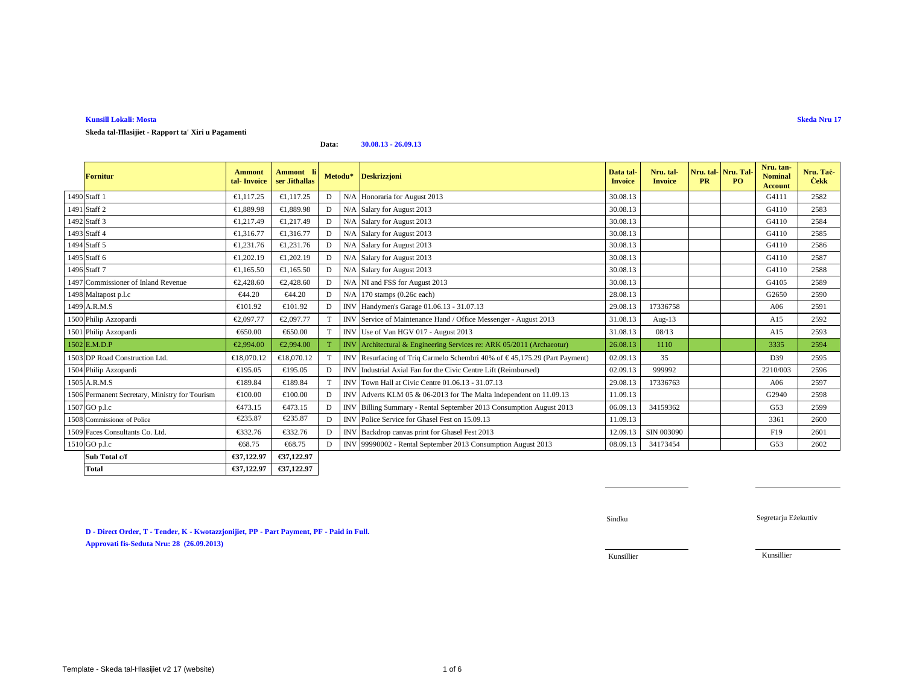### **Kunsill Lokali: MostaSkeda Nru 17**

**Skeda tal-Ħlasijiet - Rapport ta' Xiri u Pagamenti**

| <b>Fornitur</b>                                | Ammont<br>tal Invoice | Ammont li<br>ser Jithallas | Metodu*     |            | <b>Deskrizzjoni</b>                                                   | Data tal<br><b>Invoice</b> | Nru. tal-<br><b>Invoice</b> | PR | Nru. tal- Nru. Tal<br>PO <sub>1</sub> | Nru. tan-<br><b>Nominal</b><br><b>Account</b> | Nru. Tač<br><b>Cekk</b> |
|------------------------------------------------|-----------------------|----------------------------|-------------|------------|-----------------------------------------------------------------------|----------------------------|-----------------------------|----|---------------------------------------|-----------------------------------------------|-------------------------|
| 1490 Staff 1                                   | €1.117.25             | €1,117,25                  | D           | N/A        | Honoraria for August 2013                                             | 30.08.13                   |                             |    |                                       | G4111                                         | 2582                    |
| 1491 Staff 2                                   | €1.889.98             | €1,889.98                  | D           | N/A        | Salary for August 2013                                                | 30.08.13                   |                             |    |                                       | G4110                                         | 2583                    |
| 1492 Staff 3                                   | €1.217.49             | €1,217.49                  | $\mathbf D$ | N/A        | Salary for August 2013                                                | 30.08.13                   |                             |    |                                       | G4110                                         | 2584                    |
| 1493 Staff 4                                   | €1.316.77             | €1,316,77                  | D           | N/A        | Salary for August 2013                                                | 30.08.13                   |                             |    |                                       | G4110                                         | 2585                    |
| 1494 Staff 5                                   | €1,231.76             | €1,231.76                  | D           | N/4        | Salary for August 2013                                                | 30.08.13                   |                             |    |                                       | G4110                                         | 2586                    |
| 1495 Staff 6                                   | €1,202.19             | €1,202.19                  | D           | N/4        | Salary for August 2013                                                | 30.08.13                   |                             |    |                                       | G4110                                         | 2587                    |
| 1496 Staff 7                                   | €1.165.50             | €1.165.50                  | D           | N/A        | Salary for August 2013                                                | 30.08.13                   |                             |    |                                       | G4110                                         | 2588                    |
| 1497 Commissioner of Inland Revenue            | €2,428.60             | €2,428.6                   | D           | N/A        | NI and FSS for August 2013                                            | 30.08.13                   |                             |    |                                       | G4105                                         | 2589                    |
| 1498 Maltapost p.l.c                           | €44.20                | €44.20                     | D           | N/A        | 170 stamps $(0.26$ each)                                              | 28.08.13                   |                             |    |                                       | G2650                                         | 2590                    |
| 1499 A.R.M.S                                   | €101.92               | €101.92                    | D           | INV        | Handymen's Garage 01.06.13 - 31.0.13                                  | 29.08.13                   | 17336758                    |    |                                       | A06                                           | 2591                    |
| 1500 Philip Azzopardi                          | €2,097.77             | €2,097.77                  | T           | <b>INV</b> | Service 6 Maintenance Hand / Office Messenger - August 2013           | 31.08.13                   | Aug- $13$                   |    |                                       | A15                                           | 2592                    |
| 1501 Philip Azzopardi                          | €650.00               | €650.00                    | T           | <b>INV</b> | Use of Van HCV 017 - August 2013                                      | 31.08.13                   | 08/13                       |    |                                       | A15                                           | 2593                    |
| $1502$ E.M.D.P                                 | €2,994.00             | €2,994.00                  |             | <b>INV</b> | Architectural & Engineering Sirvices re: ARK 05/2011 (Archaeotur)     | 26.08.13                   | 1110                        |    |                                       | 3335                                          | 2594                    |
| 1503 DP Road Construction Ltd.                 | €18,070.12            | €18,070.12                 | T           | <b>NV</b>  | Resurfacing of Triq Carmelo Schembri 40% of €45,175.29 (Part Payment) | 02.09.13                   | 35                          |    |                                       | D39                                           | 2595                    |
| 1504 Philip Azzopardi                          | €195.05               | €195.05                    | D           | <b>INV</b> | Industrial Axal Fan for the Civic Centre Lift (Reimbursed)            | 02.09.13                   | 999992                      |    |                                       | 2210/003                                      | 2596                    |
| 1505 A.R.M.S                                   | €189.84               | €189.84                    | T           | <b>INV</b> | Town Hall at Civic Centre 01.06.8 - 31.07.13                          | 29.08.13                   | 17336763                    |    |                                       | A06                                           | 2597                    |
| 1506 Permanent Secretary, Ministry for Tourism | $\epsilon$ 100.00     | €100.00                    | D           | <b>INV</b> | Adverts KLM 05 & 06-2013 for The MaltaIndependent on 11.09.13         | 11.09.13                   |                             |    |                                       | G2940                                         | 2598                    |
| 1507 GO p.l.c                                  | €473.15               | €473.15                    | D           | <b>INV</b> | Billing Summary - Rental Septembe 2013 Consumption August 2013        | 06.09.13                   | 34159362                    |    |                                       | G53                                           | 2599                    |
| 1508 Commissioner of Police                    | €235.87               | €235.87                    | D           | <b>INV</b> | Police Service for Ghasel Fest on 15.09.13                            | 11.09.13                   |                             |    |                                       | 3361                                          | 2600                    |
| 1509 Faces Consultants Co. Ltd.                | €332.76               | €332.76                    | D           | <b>INV</b> | Bakdrop canvas print for Ghasel Fest 2013                             | 12.09.13                   | SIN 003090                  |    |                                       | F19                                           | 2601                    |
| 1510 GO p.l.c                                  | €68.75                | €68.75                     | D           | <b>INV</b> | 99990002 - Rental September 2013 Casumption August 2013               | 08.09.13                   | 34173454                    |    |                                       | G53                                           | 2602                    |
| Sub Total c/f                                  | €37,122.97            | €37,122.97                 |             |            |                                                                       |                            |                             |    |                                       |                                               |                         |
| <b>Total</b>                                   | €37,122.97            | €37,122.97                 |             |            |                                                                       |                            |                             |    |                                       |                                               |                         |

**Data:**

**30.08.13 - 26.09.13**

**D - Direct Order, T - Tender, K - Kwotazzjonijiet, PP - Part Payment, PF - Paid in Full. Approvati fis-Seduta Nru: 28 (26.09.2013)**

Sindku

Segretarju Eżekuttiv

Kunsillier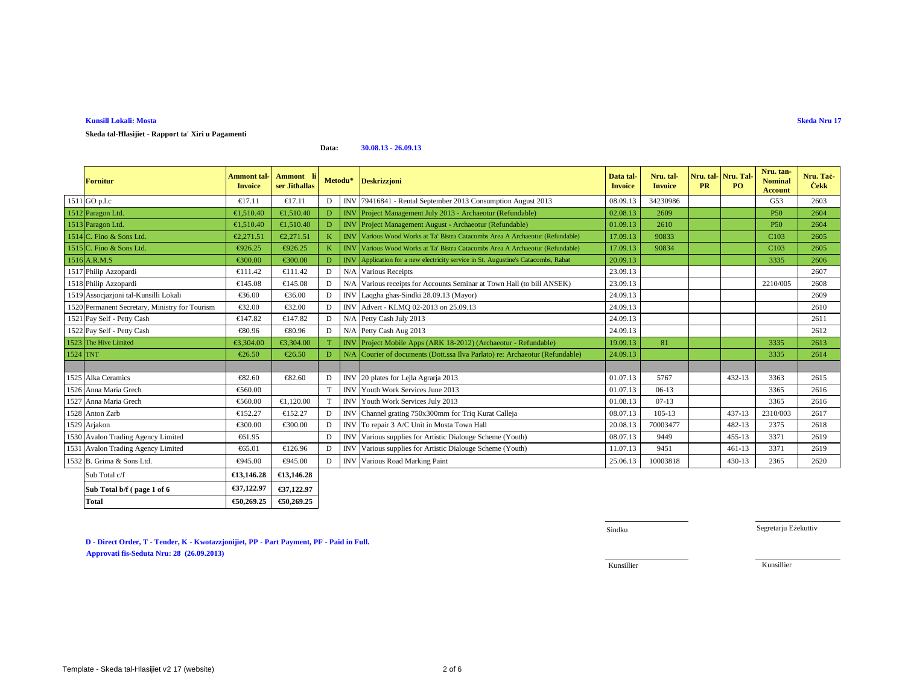**Kunsill Lokali: Mosta**

**Skeda tal-Ħlasijiet - Rapport ta' Xiri u Pagamenti**

Template - Skeda tal-Hlasijiet v2 17 (website) $2$  of 6

# **D - Direct Order, T - Tender, K - Kwotazzjonijiet, PP - Part Payment, PF - Paid in Full. Approvati fis-Seduta Nru: 24 (29.08.20 Approvati fis-Seduta Nru: 28 (26.09.2013) 13)**

# **Data:30.08.13 - 26.09.13**

|          | <b>Fornitur</b>                                | <b>Ammont</b> tal-<br><b>Invoice</b> | Ammont li<br>ser Jithallas | Metodu* |              | <b>Deskrizzjoni</b>                                                                  | Data tal-<br><b>Invoice</b> | Nru. tal-<br><b>Invoice</b> | Nru. tal Nru. Tal<br><b>PR</b> | PO.        | Nru. tan-<br><b>Nominal</b><br><b>Account</b> | Nru. Taċ-<br><b>Cekk</b> |
|----------|------------------------------------------------|--------------------------------------|----------------------------|---------|--------------|--------------------------------------------------------------------------------------|-----------------------------|-----------------------------|--------------------------------|------------|-----------------------------------------------|--------------------------|
|          | 1511 GO p.l.c                                  | €17.11                               | €17.11                     | D       | <b>INV</b>   | 79416841 - Rental September 2013 Casumption August 2013                              | 08.09.13                    | 34230986                    |                                |            | G53                                           | 2603                     |
|          | 1512 Paragon Ltd.                              | €1,510.40                            | €1.510.40                  | D       | <b>INV</b>   | Project Managment July 2013 - Archaeotur (Refundable)                                | 02.08.13                    | 2609                        |                                |            | <b>P50</b>                                    | 2604                     |
|          | 1513 Paragon Ltd.                              | €1,510.40                            | €1,510.40                  | D       | <b>INV</b>   | Project Managment August - Archaeotur (Refundable)                                   | 01.09.13                    | 2610                        |                                |            | <b>P50</b>                                    | 2604                     |
|          | 1514 C. Fino & Sons Ltd.                       | €2.271.51                            | €2.271.51                  | K       |              | <b>INV Various Wood Works at Ta' Bistra Catacombs Area A Archaeotur (Refundable)</b> | 17.09.13                    | 90833                       |                                |            | C <sub>103</sub>                              | 2605                     |
|          | 1515 C. Fino & Sons Ltd.                       | €926.25                              | €926.25                    | K       |              | <b>INV Various Wood Works at Ta' Bistra Catacombs Area A Archaeotur (Refundable)</b> | 17.09.13                    | 90834                       |                                |            | C <sub>103</sub>                              | 2605                     |
|          | 1516 A.R.M.S                                   | €300.00                              | €300.00                    | D       |              | INV Application for a new electricity service in St. Augustine's Catacombs, Rabat    | 20.09.13                    |                             |                                |            | 3335                                          | 2606                     |
|          | 1517 Philip Azzopardi                          | €111.42                              | €111.42                    | D       | N/A          | Various Recepts                                                                      | 23.09.13                    |                             |                                |            |                                               | 2607                     |
|          | 1518 Philip Azzopardi                          | €145.08                              | €145.08                    | D       | N/A          | Various recepts for Accounts Seminar at Town Hall (to bill ANSEK)                    | 23.09.13                    |                             |                                |            | 2210/005                                      | 2608                     |
|          | 1519 Assocjazjoni tal-Kunsilli Lokali          | €36.00                               | €36.00                     | D       | $\text{INV}$ | Laqgha ghas-Sindki 28.09.13 (Mayor)                                                  | 24.09.13                    |                             |                                |            |                                               | 2609                     |
|          | 1520 Permanent Secretary, Ministry for Tourism | €32.00                               | €32.00                     | D       | <b>INV</b>   | Advert - KLMQ 02-2013 on 25.09.13                                                    | 24.09.13                    |                             |                                |            |                                               | 2610                     |
|          | 1521 Pay Self - Petty Cash                     | €147.82                              | €147.82                    | D       | N/A          | Petty Cah July 2013                                                                  | 24.09.13                    |                             |                                |            |                                               | 2611                     |
|          | 1522 Pay Self - Petty Cash                     | €80.96                               | €80.96                     | D       | N/A          | Petty CashAug 2013                                                                   | 24.09.13                    |                             |                                |            |                                               | 2612                     |
|          | 1523 The Hive Limited                          | €3.304.00                            | €3,304.00                  | T       | <b>INV</b>   | Project Mobile Apps (ARK 18-012) (Archaeotur - Refundable)                           | 19.09.13                    | 81                          |                                |            | 3335                                          | 2613                     |
| 1524 TNT |                                                | €26.50                               | €26.50                     | D       | N/A          | Courier of documents (Dott.ssa IlvaParlato) re: Archaeotur (Refundable)              | 24.09.13                    |                             |                                |            | 3335                                          | 2614                     |
|          |                                                |                                      |                            |         |              |                                                                                      |                             |                             |                                |            |                                               |                          |
|          | 1525 Alka Ceramics                             | €82.60                               | €82.60                     | D       | IN           | 20 plates for Leip Agrarja 2013                                                      | 01.07.13                    | 5767                        |                                | 432-13     | 3363                                          | 2615                     |
|          | 1526 Anna Maria Grech                          | €560.00                              |                            | T       | <b>INV</b>   | Youth Work ServicesJune 2013                                                         | 01.07.13                    | $06-13$                     |                                |            | 3365                                          | 2616                     |
|          | 1527 Anna Maria Grech                          | €560.00                              | €1,120.00                  | T       | IN           | Youth WorkServices July 2013                                                         | 01.08.13                    | $07-13$                     |                                |            | 3365                                          | 2616                     |
|          | 1528 Anton Zarb                                | €152.27                              | €152.27                    | D       | IN           | Channel grating 750300mm for Triq Kurat Calleja                                      | 08.07.13                    | $105 - 13$                  |                                | $437 - 13$ | 2310/003                                      | 2617                     |
|          | 1529 Arjakon                                   | €300.00                              | €300.00                    | D       | <b>INV</b>   | To repair 3 A/C Unit in Mosta Town Hall                                              | 20.08.13                    | 70003477                    |                                | 482-13     | 2375                                          | 2618                     |
|          | 1530 Avalon Trading Agency Limited             | €61.95                               |                            | D       | <b>INV</b>   | Various supplies for Artistic Dialouge Scheme (Youth)                                | 08.07.13                    | 9449                        |                                | $455 - 13$ | 3371                                          | 2619                     |
|          | 1531 Avalon Trading Agency Limited             | €65.01                               | €126.96                    | D       | <b>INV</b>   | Various supplies for Artistic Dialouge Scheme (Youth)                                | 11.07.13                    | 9451                        |                                | $461 - 13$ | 3371                                          | 2619                     |
|          | 1532 B. Grima & Sons Ltd.                      | €945.00                              | €945.00                    | D       | IN           | Various Road Marking Paint                                                           | 25.06.13                    | 10003818                    |                                | 430-13     | 2365                                          | 2620                     |
|          | Sub Total c/f                                  | €13,146.28                           | €13,146.28                 |         |              |                                                                                      |                             |                             |                                |            |                                               |                          |
|          | Sub Total b/f (page 1 of 6                     | €37,122.97                           | €37,122.97                 |         |              |                                                                                      |                             |                             |                                |            |                                               |                          |
|          | <b>Total</b>                                   | €50,269,25                           | €50,269.25                 |         |              |                                                                                      |                             |                             |                                |            |                                               |                          |

**Skeda Nru 17**

Sindku

Segretarju Eżekuttiv

Kunsillier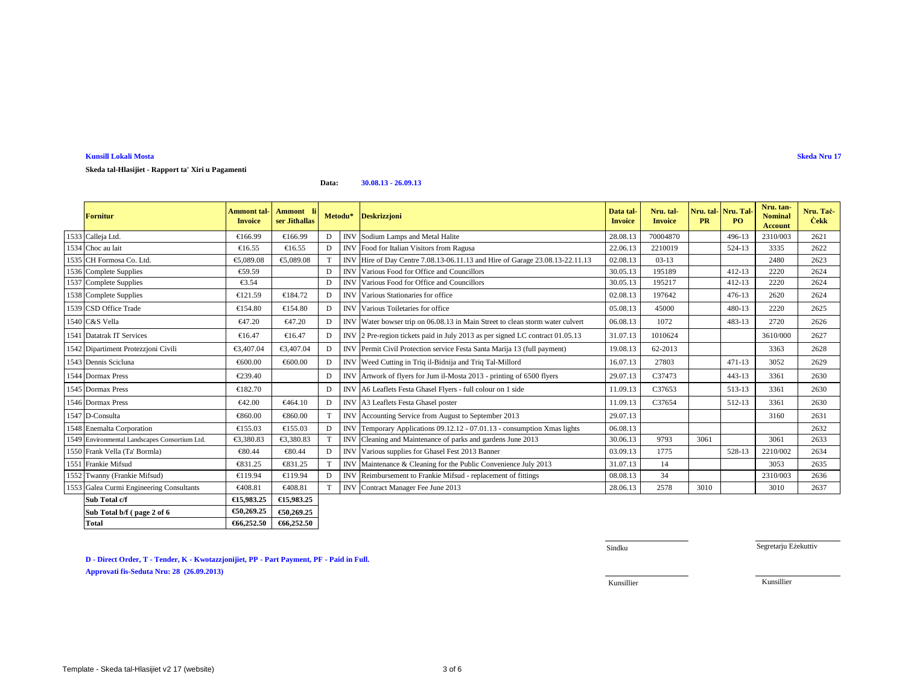**Kunsill Lokali Mosta Skeda Nru 17 Skeda tal-Hlasijiet - Rapport ta' Xiri u Pagamenti**

#### **Data:30.08.13 - 26.09.13**

| <b>Fornitur</b>                               | <b>Ammont tal-1</b><br><b>Invoice</b> | Ammont li<br>ser Jithallas |                 |            | Metodu* Deskrizzjoni                                                         | Data tal-<br><b>Invoice</b> | Nru. tal-<br><b>Invoice</b> | Nru. tal-<br><b>PR</b> | Nru. Tal<br>PO <sub>1</sub> | Nru. tan-<br><b>Nominal</b><br><b>Account</b> | Nru. Tač<br><b>Cekk</b> |
|-----------------------------------------------|---------------------------------------|----------------------------|-----------------|------------|------------------------------------------------------------------------------|-----------------------------|-----------------------------|------------------------|-----------------------------|-----------------------------------------------|-------------------------|
| 1533 Calleja Ltd.                             | €166.99                               | €166.99                    |                 | <b>INV</b> | Sodium Lamps and Metal Halite                                                | 28.08.13                    | 70004870                    |                        | 496-13                      | 2310/003                                      | 2621                    |
| 1534 Choc au lait                             | €16.55                                | €16.55                     | D               | <b>INV</b> | Food for Italian Vsitors from Ragusa                                         | 22.06.13                    | 2210019                     |                        | 524-13                      | 3335                                          | 2622                    |
| 1535 CH Formosa Co. Ltd.                      | €5,089.08                             | €5,089.08                  | $^{\mathrm{T}}$ | <b>INV</b> | Hire 6 Day Centre 7.08.13-06.11.13 and Hire of Garage 23.08.13-22.11.13      | 02.08.13                    | $03-13$                     |                        |                             | 2480                                          | 2623                    |
| 1536 Complete Supplies                        | €59.59                                |                            | D               | <b>INV</b> | Various Food for Office and Councillors                                      | 30.05.13                    | 195189                      |                        | $412 - 13$                  | 2220                                          | 2624                    |
| 1537 Complete Supplies                        | €3.54                                 |                            | D               | <b>INV</b> | Various Food for Office and Councillors                                      | 30.05.13                    | 195217                      |                        | $412 - 13$                  | 2220                                          | 2624                    |
| 1538 Complete Supplies                        | €121.59                               | €184.72                    | D               | <b>INV</b> | Various Statonaries for office                                               | 02.08.13                    | 197642                      |                        | 476-13                      | 2620                                          | 2624                    |
| 1539 CSD Office Trade                         | €154.80                               | €154.80                    | D               | <b>INV</b> | Various Toiltaries for office                                                | 05.08.13                    | 45000                       |                        | 480-13                      | 2220                                          | 2625                    |
| 1540 C&S Vella                                | €47.20                                | €47.20                     | D               | <b>INV</b> | Water bowser trip on 6.08.13 in Main Street to clean storm water culvert     | 06.08.13                    | 1072                        |                        | 483-13                      | 2720                                          | 2626                    |
| 1541 Datatrak IT Services                     | €16.47                                | €16.47                     | D               |            | INV 2 Pre-regio tickets paid in July 2013 as per signed LC contract 01.05.13 | 31.07.13                    | 1010624                     |                        |                             | 3610/000                                      | 2627                    |
| 1542 Dipartiment Protezzjoni Civili           | €3,407.04                             | €3,407.0                   | D               |            | INV Permit Civil Protection service Festa Santa Marija 13 (full payment)     | 19.08.13                    | 62-2013                     |                        |                             | 3363                                          | 2628                    |
| 1543 Dennis Scicluna                          | €600.00                               | €600.00                    | D               | <b>INV</b> | Weed Cutting in Triq il-Bidnija and Triq Tal-Millord                         | 16.07.13                    | 27803                       |                        | $471 - 13$                  | 3052                                          | 2629                    |
| 1544 Dormax Press                             | €239.40                               |                            | D               |            | INV Artwork of flyers for Jun il-Mosta 2013 - printing of 6500 flyers        | 29.07.13                    | C37473                      |                        | $443 - 13$                  | 3361                                          | 2630                    |
| 1545 Dormax Press                             | €182.70                               |                            | D               | <b>INV</b> | A6 Leaflets Festa GhaselFlyers - full colour on 1 side                       | 11.09.13                    | C37653                      |                        | 513-13                      | 3361                                          | 2630                    |
| 1546 Dormax Press                             | €42.00                                | €464.10                    | D               | <b>INV</b> | A3 Leaflets FestaGhasel poster                                               | 11.09.13                    | C37654                      |                        | 512-13                      | 3361                                          | 2630                    |
| 1547 D-Consulta                               | €860.00                               | €860.00                    |                 | <b>INV</b> | Accounting Servicefrom August to September 2013                              | 29.07.13                    |                             |                        |                             | 3160                                          | 2631                    |
| 1548 Enemalta Corporation                     | €155.03                               | €155.03                    | D               | <b>INV</b> | TemporaryApplications 09.12.12 - 07.01.13 - consumption Xmas lights          | 06.08.13                    |                             |                        |                             |                                               | 2632                    |
| 1549 Environmental Landscapes Consortium Ltd. | €3,380.83                             | €3,380.83                  |                 | <b>INV</b> | Cleaning and Maintenance of prks and gardens June 2013                       | 30.06.13                    | 9793                        | 3061                   |                             | 3061                                          | 2633                    |
| 1550 Frank Vella (Ta' Bormla)                 | €80.44                                | €80.44                     | D               | <b>INV</b> | Variousupplies for Ghasel Fest 2013 Banner                                   | 03.09.13                    | 1775                        |                        | 528-13                      | 2210/002                                      | 2634                    |
| 1551 Frankie Mifsud                           | €831.25                               | €831.25                    | $^{\mathsf{T}}$ | <b>INV</b> | Maintenance & Ceaning for the Public Convenience July 2013                   | 31.07.13                    | 14                          |                        |                             | 3053                                          | 2635                    |
| 1552 Twanny (Frankie Mifsud)                  | €119.94                               | €119.94                    | D               | IN'        | Reimbusement to Frankie Mifsud - replacement of fittings                     | 08.08.13                    | 34                          |                        |                             | 2310/003                                      | 2636                    |
| 1553 Galea Curmi Engineering Consultants      | €408.81                               | €40881                     | T               |            | INV Contract Manager Fee June 2013                                           | 28.06.13                    | 2578                        | 3010                   |                             | 3010                                          | 2637                    |
| Sub Total c/f                                 | €15,983.25                            | €15,983.25                 |                 |            |                                                                              |                             |                             |                        |                             |                                               |                         |
| Sub Total b/f (page 2 of 6                    | €50,269.25                            | €50,269.25                 |                 |            |                                                                              |                             |                             |                        |                             |                                               |                         |
| <b>Total</b>                                  | €66,252.50                            | €66,252.50                 |                 |            |                                                                              |                             |                             |                        |                             |                                               |                         |

**D - Direct Order, T - Tender, K - Kwotazzjonijiet, PP - Part Payment, PF - Paid in Full.**

**Approvati fis-Seduta Nru: 28 (26.09.2013)**

**Total €66,252.50 €66,252.50**

Sindku

Segretarju Eżekuttiv

Kunsillier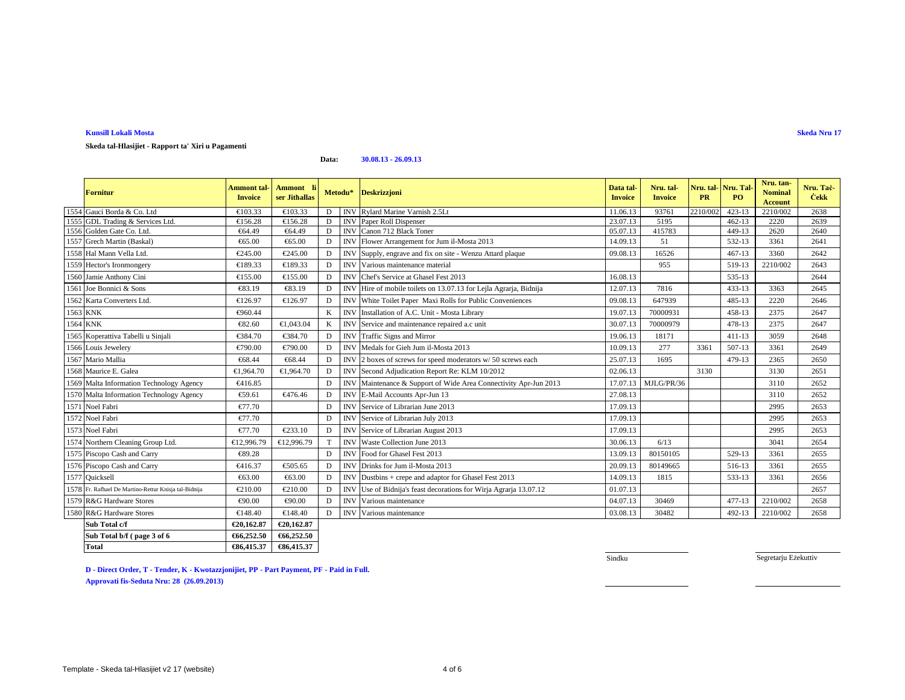# **Kunsill Lokali Mosta**

**Skeda tal-Hlasijiet - Rapport ta' Xiri u Pagamenti**

**Data:30.08.13 - 26.09.13**

|          | <b>Fornitur</b>                                       | <b>Ammont</b> tal-<br><b>Invoice</b> | Ammont li<br>ser Jithallas | Metodu* |                 | <b>Deskrizzjoni</b>                                          | Data tal-<br><b>Invoice</b> | Nru. tal-<br><b>Invoice</b> | Nru. tal-<br><b>PR</b> | Nru. Tal<br>PO <sub>1</sub> | Nru. tan-<br><b>Nominal</b><br><b>Account</b> | Nru. Taċ-<br><b>Cekk</b> |
|----------|-------------------------------------------------------|--------------------------------------|----------------------------|---------|-----------------|--------------------------------------------------------------|-----------------------------|-----------------------------|------------------------|-----------------------------|-----------------------------------------------|--------------------------|
|          | 1554 Gauci Borda & Co. Ltd                            | €103.33                              | €103.33                    | D       | <b>INV</b>      | Rylard Mrine Varnish 2.5Lt                                   | 11.06.13                    | 93761                       | 2210/002               | $423 - 13$                  | 2210/002                                      | 2638                     |
|          | 1555 GDL Trading & Services Ltd.                      | €156.28                              | €156.28                    | D       | <b>INV</b>      | Paer Roll Dispenser                                          | 23.07.13                    | 5195                        |                        | $462 - 13$                  | 2220                                          | 2639                     |
|          | 1556 Golden Gate Co. Ltd.                             | €64.49                               | €64.49                     | D       | <b>INV</b>      | Canon 712 Back Toner                                         | 05.07.13                    | 415783                      |                        | 449-13                      | 2620                                          | 2640                     |
|          | 1557 Grech Martin (Baskal)                            | €65.00                               | €65.00                     | D       | <b>INV</b>      | Flower Arangement for Jum il-Mosta 2013                      | 14.09.13                    | 51                          |                        | 532-13                      | 3361                                          | 2641                     |
|          | 1558 Hal Mann Vella Ltd.                              | €245.00                              | €245.00                    | D       | <b>INV</b>      | Supply, egrave and fix on site - Wenzu Attard plaque         | 09.08.13                    | 16526                       |                        | $467 - 13$                  | 3360                                          | 2642                     |
|          | 1559 Hector's Ironmongery                             | €189.33                              | €189.33                    | D       | IN <sub>1</sub> | Various mintenance material                                  |                             | 955                         |                        | 519-13                      | 2210/002                                      | 2643                     |
|          | 1560 Jamie Anthony Cini                               | €155.00                              | €155.00                    | D       | <b>INV</b>      | Chef's Serice at Ghasel Fest 2013                            | 16.08.13                    |                             |                        | 535-13                      |                                               | 2644                     |
|          | 1561 Joe Bonnici & Sons                               | €83.19                               | €83.19                     | D       | IN              | Hire of mobil toilets on 13.07.13 for Lejla Agrarja, Bidnija | 12.07.13                    | 7816                        |                        | 433-13                      | 3363                                          | 2645                     |
|          | 1562 Karta Converters Ltd.                            | €126.97                              | €126.97                    | D       | <b>INV</b>      | White Tidet Paper Maxi Rolls for Public Conveniences         | 09.08.13                    | 647939                      |                        | 485-13                      | 2220                                          | 2646                     |
| 1563 KNK |                                                       | €960.44                              |                            | K       | <b>INV</b>      | Installation of A.C. Unit - Mosta Library                    | 19.07.13                    | 70000931                    |                        | 458-13                      | 2375                                          | 2647                     |
| 1564 KNK |                                                       | €82.60                               | €1,043.04                  | K       | <b>INV</b>      | Service and maintenance repaired .c unit                     | 30.07.13                    | 70000979                    |                        | 478-13                      | 2375                                          | 2647                     |
|          | 1565 Koperattiva Tabelli u Sinjali                    | €384.70                              | €384.70                    | D       |                 | <b>INV</b> Traffic Signs and Mirror                          | 19.06.13                    | 18171                       |                        | $411 - 13$                  | 3059                                          | 2648                     |
|          | 1566 Louis Jewelery                                   | €790.00                              | €790.00                    | D       | <b>INV</b>      | Medals for Giehlum il-Mosta 2013                             | 10.09.13                    | 277                         | 3361                   | $507-13$                    | 3361                                          | 2649                     |
|          | 1567 Mario Mallia                                     | €68.44                               | €68.44                     | D       | <b>INV</b>      | 2 boxes of screws $6r$ speed moderators w/ 50 screws each    | 25.07.13                    | 1695                        |                        | 479-13                      | 2365                                          | 2650                     |
|          | 1568 Maurice E. Galea                                 | €1,964.70                            | €1,964.70                  | D       | <b>INV</b>      | Second Adudication Report Re: KLM 10/2012                    | 02.06.13                    |                             | 3130                   |                             | 3130                                          | 2651                     |
|          | 1569 Malta Information Technology Agency              | €416.85                              |                            | D       | <b>INV</b>      | Maintenance & Support of Wide Area Connectivity Apr-Jun 2013 | 17.07.13                    | MJLG/PR/36                  |                        |                             | 3110                                          | 2652                     |
|          | 1570 Malta Information Technology Agency              | €59.61                               | €476.4                     | D       | <b>INV</b>      | E-Mail Accounts Apr-Jun 13                                   | 27.08.13                    |                             |                        |                             | 3110                                          | 2652                     |
|          | 1571 Noel Fabri                                       | €77.70                               |                            | D       | <b>INV</b>      | Service of Librarian June2013                                | 17.09.13                    |                             |                        |                             | 2995                                          | 2653                     |
|          | 1572 Noel Fabri                                       | €77.70                               |                            | D       | <b>INV</b>      | Service of Librarian July2013                                | 17.09.13                    |                             |                        |                             | 2995                                          | 2653                     |
|          | 1573 Noel Fabri                                       | €77.70                               | €233.10                    | D       | <b>INV</b>      | Service of Libraria August 2013                              | 17.09.13                    |                             |                        |                             | 2995                                          | 2653                     |
|          | 1574 Northern Cleaning Group Ltd.                     | €12,996.79                           | €12,996.9                  | T       | <b>INV</b>      | Waste Collection June 2013                                   | 30.06.13                    | 6/13                        |                        |                             | 3041                                          | 2654                     |
|          | 1575 Piscopo Cash and Carry                           | €89.28                               |                            | D       | <b>INV</b>      | Food for GhaselFest 2013                                     | 13.09.13                    | 80150105                    |                        | 529-13                      | 3361                                          | 2655                     |
|          | 1576 Piscopo Cash and Carry                           | €416.37                              | €505.65                    | D       | IN              | Drinksfor Jum il-Mosta 2013                                  | 20.09.13                    | 80149665                    |                        | 516-13                      | 3361                                          | 2655                     |
|          | 1577 Quicksell                                        | €63.00                               | €63.00                     | D       | <b>INV</b>      | Dustbins + crepe and adaptor for Ghsel Fest 2013             | 14.09.13                    | 1815                        |                        | 533-13                      | 3361                                          | 2656                     |
|          | 1578 Fr. Rafhael De Martino-Rettur Knisja tal-Bidnija | €210.00                              | €210.00                    | D       | IN              | Use of Bidnija's feast decoration for Wirja Agrarja 13.07.12 | 01.07.13                    |                             |                        |                             |                                               | 2657                     |
|          | 1579 R&G Hardware Stores                              | €90.00                               | €90.00                     | D       | IN <sub>1</sub> | Various mainenance                                           | 04.07.13                    | 30469                       |                        | $477 - 13$                  | 2210/002                                      | 2658                     |
|          | 1580 R&G Hardware Stores                              | €148.40                              | €148.40                    | D       | <b>INV</b>      | Various mintenance                                           | 03.08.13                    | 30482                       |                        | 492-13                      | 2210/002                                      | 2658                     |
|          | Sub Total c/f                                         | €20,162.87                           | €20,162.87                 |         |                 |                                                              |                             |                             |                        |                             |                                               |                          |
|          | Sub Total b/f (page 3 of 6                            | €66,252.50                           | €66,252.50                 |         |                 |                                                              |                             |                             |                        |                             |                                               |                          |

**Skeda Nru 17**

**D - Direct Order, T - Tender, K - Kwotazzjonijiet, PP - Part Payment, PF - Paid in Full. Approvati fis-Seduta Nru: 28 (26.09.2013)**

**€86,415.37 €86,415.37**

Sindku

Segretarju Eżekuttiv

**Total**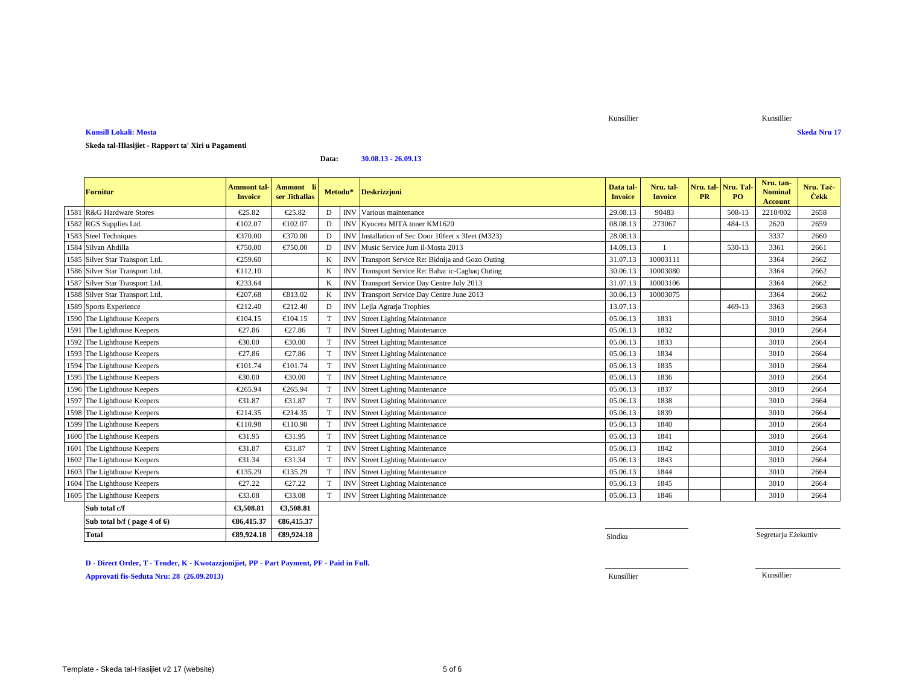**Total €89,924.18 €89,924.18**

**Approvati fis-Seduta Nru: 28 (26.09.2013)**

**D - Direct Order, T - Tender, K - Kwotazzjonijiet, PP - Part Payment, PF - Paid in Full.**

## **Kunsill Lokali: MostaSkeda Nru 17**

# **Skeda tal-Ħlasijiet - Rapport ta' Xiri u Pagamenti**

#### **Data:30.08.13 - 26.09.13**

€89,924.18

|                                 |                                      |                            |          |            |                                              |                             |                             |                                |           | Nru. tan-                        |                          |
|---------------------------------|--------------------------------------|----------------------------|----------|------------|----------------------------------------------|-----------------------------|-----------------------------|--------------------------------|-----------|----------------------------------|--------------------------|
| <b>Fornitur</b>                 | <b>Ammont</b> tal-<br><b>Invoice</b> | Ammont li<br>ser Jithallas | Metodu*  |            | <b>Deskrizzjoni</b>                          | Data tal-<br><b>Invoice</b> | Nru. tal-<br><b>Invoice</b> | Nru. tal Nru. Tal<br><b>PR</b> | <b>PO</b> | <b>Nominal</b><br><b>Account</b> | Nru. Taċ-<br><b>Cekk</b> |
| 1581 R&G Hardware Stores        | €25.82                               | €25.82                     | D        | <b>INV</b> | Various mainenance                           | 29.08.13                    | 90483                       |                                | 508-13    | 2210/002                         | 2658                     |
| 1582 RGS Supplies Ltd.          | €102.07                              | €102.07                    | D        | <b>INV</b> | Kyocera MITAtoner KM1620                     | 08.08.13                    | 273067                      |                                | 484-13    | 2620                             | 2659                     |
| 1583 Steel Techniques           | €370.00                              | €370.00                    | D        | <b>INV</b> | Installation fSec Door 10feet x 3feet (M323) | 28.08.13                    |                             |                                |           | 3337                             | 2660                     |
| 1584 Silvan Abdilla             | €750.00                              | €750.00                    | D        | <b>INV</b> | Music Service dm il-Mosta 2013               | 14.09.13                    |                             |                                | 530-13    | 3361                             | 2661                     |
| 1585 Silver Star Transport Ltd. | €259.60                              |                            | K        | <b>INV</b> | TransportService Re: Bidnija and Gozo Outing | 31.07.13                    | 10003111                    |                                |           | 3364                             | 2662                     |
| 1586 Silver Star Transport Ltd. | €112.10                              |                            | K        | <b>INV</b> | TransportService Re: Bahar ic-Caghaq Outing  | 30.06.13                    | 10003080                    |                                |           | 3364                             | 2662                     |
| 1587 Silver Star Transport Ltd. | €233.64                              |                            | K        | <b>INV</b> | TransportService Day Centre July 2013        | 31.07.13                    | 10003106                    |                                |           | 3364                             | 2662                     |
| 1588 Silver Star Transport Ltd. | €207.68                              | €813.02                    | $\bf{K}$ | <b>INV</b> | Trasport Service Day Centre June 2013        | 30.06.13                    | 10003075                    |                                |           | 3364                             | 2662                     |
| 1589 Sports Experience          | €212.40                              | €212.40                    | $\Gamma$ |            | INV Lejla Agran Trophies                     | 13.07.13                    |                             |                                | 469-13    | 3363                             | 2663                     |
| 1590 The Lighthouse Keepers     | €104.15                              | €104.15                    | T        | <b>INV</b> | StreetLighting Maintenance                   | 05.06.13                    | 1831                        |                                |           | 3010                             | 2664                     |
| 1591 The Lighthouse Keepers     | €27.86                               | €27.86                     | T        | <b>INV</b> | Street Lighting Maintenance                  | 05.06.13                    | 1832                        |                                |           | 3010                             | 2664                     |
| 1592 The Lighthouse Keepers     | €30.00                               | €30.00                     | T        | <b>INV</b> | Street Lighting Maintenance                  | 05.06.13                    | 1833                        |                                |           | 3010                             | 2664                     |
| 1593 The Lighthouse Keepers     | €27.86                               | €27.86                     | T        | <b>INV</b> | Street Lighting Maintenance                  | 05.06.13                    | 1834                        |                                |           | 3010                             | 2664                     |
| 1594 The Lighthouse Keepers     | €101.74                              | €101.74                    | T        | <b>INV</b> | StreetLighting Maintenance                   | 05.06.13                    | 1835                        |                                |           | 3010                             | 2664                     |
| 1595 The Lighthouse Keepers     | €30.00                               | €30.00                     | T        | <b>INV</b> | Street Lahting Maintenance                   | 05.06.13                    | 1836                        |                                |           | 3010                             | 2664                     |
| 1596 The Lighthouse Keepers     | €265.94                              | €265.94                    | T        | <b>INV</b> | StreetLighting Maintenance                   | 05.06.13                    | 1837                        |                                |           | 3010                             | 2664                     |
| 1597 The Lighthouse Keepers     | €31.87                               | €31.87                     | T        | <b>INV</b> | Street Lighting Maintenance                  | 05.06.13                    | 1838                        |                                |           | 3010                             | 2664                     |
| 1598 The Lighthouse Keepers     | €214.35                              | €214.35                    | T        | <b>INV</b> | StreetLighting Maintenance                   | 05.06.13                    | 1839                        |                                |           | 3010                             | 2664                     |
| 1599 The Lighthouse Keepers     | €110.98                              | €110.98                    | T        | <b>INV</b> | StreetLighting Maintenance                   | 05.06.13                    | 1840                        |                                |           | 3010                             | 2664                     |
| 1600 The Lighthouse Keepers     | €31.95                               | €31.95                     | T        | <b>INV</b> | Street Lighting Maintenance                  | 05.06.13                    | 1841                        |                                |           | 3010                             | 2664                     |
| 1601 The Lighthouse Keepers     | €31.87                               | €31.87                     | T        | <b>INV</b> | Street Lighting Maintenance                  | 05.06.13                    | 1842                        |                                |           | 3010                             | 2664                     |
| 1602 The Lighthouse Keepers     | €31.34                               | €31.34                     | T        | <b>INV</b> | Street Lighting Maintenance                  | 05.06.13                    | 1843                        |                                |           | 3010                             | 2664                     |
| 1603 The Lighthouse Keepers     | €135.29                              | €135.29                    | T        | <b>INV</b> | StreeLighting Maintenance                    | 05.06.13                    | 1844                        |                                |           | 3010                             | 2664                     |
| 1604 The Lighthouse Keepers     | €27.22                               | €27.22                     | T        | <b>INV</b> | Street Lihting Maintenance                   | 05.06.13                    | 1845                        |                                |           | 3010                             | 2664                     |
| 1605 The Lighthouse Keepers     | €33.08                               | €33.08                     | T        | <b>INV</b> | Street Lighting Maintenance                  | 05.06.13                    | 1846                        |                                |           | 3010                             | 2664                     |
| Sub total c/f                   | €3,508.81                            | €3,508.81                  |          |            |                                              |                             |                             |                                |           |                                  |                          |
| Sub total b/f (page 4 of 6)     | €86,415.37                           | €86,415.37                 |          |            |                                              |                             |                             |                                |           |                                  |                          |

8 Sindku Sindku Sindku Sindku Sindku Sindku Sindku Sindku Sindku Sindku Sindku Sindku Sindku Sindku Sindku Sindku

Segretarju Eżekuttiv

Kunsillier Kunsillier

Kunsillier